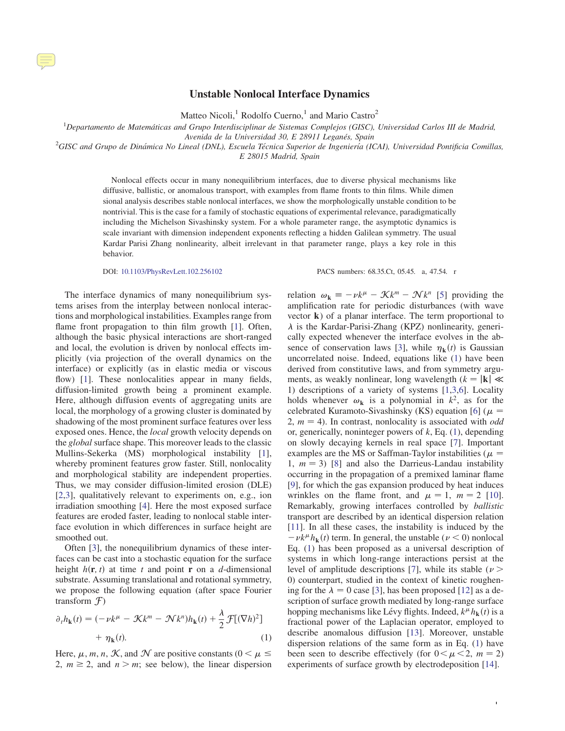## Unstable Nonlocal Interface Dynamics

Matteo Nicoli,<sup>1</sup> Rodolfo Cuerno,<sup>1</sup> and Mario Castro<sup>2</sup>

 ${}^{1}$ Departamento de Matemáticas and Grupo Interdisciplinar de Sistemas Complejos (GISC), Universidad Carlos III de Madrid,

Avenida de la Universidad 30, E 28911 Leganés, Spain<br><sup>2</sup>GISC and Grupo de Dinámica No Lineal (DNL), Escuela Técnica Superior de Ingeniería (ICAI), Universidad Pontificia Comillas, E 28015 Madrid, Spain

> Nonlocal effects occur in many nonequilibrium interfaces, due to diverse physical mechanisms like diffusive, ballistic, or anomalous transport, with examples from flame fronts to thin films. While dimen sional analysis describes stable nonlocal interfaces, we show the morphologically unstable condition to be nontrivial. This is the case for a family of stochastic equations of experimental relevance, paradigmatically including the Michelson Sivashinsky system. For a whole parameter range, the asymptotic dynamics is scale invariant with dimension independent exponents reflecting a hidden Galilean symmetry. The usual Kardar Parisi Zhang nonlinearity, albeit irrelevant in that parameter range, plays a key role in this behavior.

DOI: [10.1103/PhysRevLett.102.256102](http://dx.doi.org/10.1103/PhysRevLett.102.256102) PACS numbers: 68.35.Ct, 05.45. a, 47.54. r

The interface dynamics of many nonequilibrium systems arises from the interplay between nonlocal interactions and morphological instabilities. Examples range from flame front propagation to thin film growth [[1\]](#page-3-0). Often, although the basic physical interactions are short-ranged and local, the evolution is driven by nonlocal effects implicitly (via projection of the overall dynamics on the interface) or explicitly (as in elastic media or viscous flow) [\[1](#page-3-0)]. These nonlocalities appear in many fields, diffusion-limited growth being a prominent example. Here, although diffusion events of aggregating units are local, the morphology of a growing cluster is dominated by shadowing of the most prominent surface features over less exposed ones. Hence, the local growth velocity depends on the global surface shape. This moreover leads to the classic Mullins-Sekerka (MS) morphological instability [[1\]](#page-3-0), whereby prominent features grow faster. Still, nonlocality and morphological stability are independent properties. Thus, we may consider diffusion-limited erosion (DLE) [\[2](#page-3-1),[3\]](#page-3-2), qualitatively relevant to experiments on, e.g., ion irradiation smoothing [\[4](#page-3-3)]. Here the most exposed surface features are eroded faster, leading to nonlocal stable interface evolution in which differences in surface height are smoothed out.

Often [[3\]](#page-3-2), the nonequilibrium dynamics of these interfaces can be cast into a stochastic equation for the surface height  $h(\mathbf{r}, t)$  at time t and point **r** on a d-dimensional substrate. Assuming translational and rotational symmetry, we propose the following equation (after space Fourier transform  $\mathcal{F}$ )

<span id="page-0-0"></span>
$$
\partial_t h_{\mathbf{k}}(t) = (-\nu k^{\mu} - \mathcal{K}k^m - \mathcal{N}k^n)h_{\mathbf{k}}(t) + \frac{\lambda}{2}\mathcal{F}[(\nabla h)^2] + \eta_{\mathbf{k}}(t).
$$
\n(1)

Here,  $\mu$ , m, n, K, and N are positive constants ( $0 < \mu$ ) 2,  $m \ge 2$ , and  $n > m$ ; see below), the linear dispersion

relation  $\omega_{\mathbf{k}} \equiv -\nu k^{\mu} - \mathcal{K}k^m - \mathcal{N}k^n$  [[5\]](#page-3-4) providing the amplification rate for periodic disturbances (with wave amplification rate for periodic disturbances (with wave vector k) of a planar interface. The term proportional to  $\lambda$  is the Kardar-Parisi-Zhang (KPZ) nonlinearity, generically expected whenever the interface evolves in the ab-sence of conservation laws [\[3](#page-3-2)], while  $\eta_{\bf k}(t)$  is Gaussian uncorrelated noise. Indeed, equations like [\(1](#page-0-0)) have been derived from constitutive laws, and from symmetry arguments, as weakly nonlinear, long wavelength  $(k = |{\bf k}| \ll$ 1) descriptions of a variety of systems [\[1](#page-3-0),[3](#page-3-2)[,6](#page-3-5)]. Locality holds whenever  $\omega_{k}$  is a polynomial in  $k^{2}$ , as for the celebrated Kuramoto-Sivashinsky (KS) equation [[6\]](#page-3-5) ( $\mu$  = 2,  $m = 4$ ). In contrast, nonlocality is associated with *odd* or generically noninteger nowers of  $k$  Eq. (1) depending or, generically, noninteger powers of  $k$ , Eq. ([1\)](#page-0-0), depending on slowly decaying kernels in real space [\[7](#page-3-6)]. Important examples are the MS or Saffman-Taylor instabilities ( $\mu =$ 1,  $m = 3$ ) [\[8](#page-3-7)] and also the Darrieus-Landau instability<br>occurring in the propagation of a premixed laminar flame occurring in the propagation of a premixed laminar flame [\[9](#page-3-8)], for which the gas expansion produced by heat induces wrinkles on the flame front, and  $\mu = 1$ ,  $m = 2$  [\[10](#page-3-9)].<br>Remarkably growing interfaces controlled by *hallistic* Remarkably, growing interfaces controlled by ballistic transport are described by an identical dispersion relation [\[11\]](#page-3-10). In all these cases, the instability is induced by the  $-\nu k^{\mu} h_{\mathbf{k}}(t)$  term. In general, the unstable ( $\nu < 0$ ) nonlocal<br>Eq. (1) has been proposed as a universal description of Eq. ([1\)](#page-0-0) has been proposed as a universal description of systems in which long-range interactions persist at the level of amplitude descriptions [[7\]](#page-3-6), while its stable ( $\nu$  > 0) counterpart, studied in the context of kinetic roughening for the  $\lambda = 0$  case [[3](#page-3-2)], has been proposed [[12\]](#page-3-11) as a description of surface growth mediated by long-range surface hopping mechanisms like Lévy flights. Indeed,  $k^{\mu}h_{k}(t)$  is a fractional power of the Laplacian operator, employed to fractional power of the Laplacian operator, employed to describe anomalous diffusion [\[13](#page-3-12)]. Moreover, unstable dispersion relations of the same form as in Eq. [\(1](#page-0-0)) have been seen to describe effectively (for  $0 < \mu < 2$ ,  $m = 2$ )<br>experiments of surface growth by electrodenosition [14] experiments of surface growth by electrodeposition [[14\]](#page-3-13).

1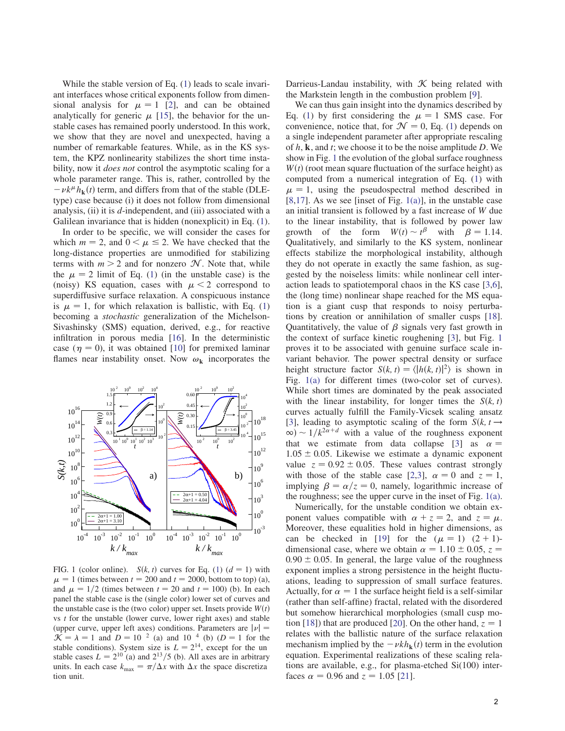While the stable version of Eq. ([1\)](#page-0-0) leads to scale invariant interfaces whose critical exponents follow from dimensional analysis for  $\mu = 1$  [\[2](#page-3-1)], and can be obtained<br>analytically for generic  $\mu$  [15] the behavior for the unanalytically for generic  $\mu$  [[15\]](#page-3-14), the behavior for the unstable cases has remained poorly understood. In this work, we show that they are novel and unexpected, having a number of remarkable features. While, as in the KS system, the KPZ nonlinearity stabilizes the short time instability, now it *does not* control the asymptotic scaling for a whole parameter range. This is, rather, controlled by the  $-\nu k^{\mu} \hat{h}_{k}(t)$  term, and differs from that of the stable (DLE-<br>type) case because (i) it does not follow from dimensional type) case because (i) it does not follow from dimensional analysis, (ii) it is  $d$ -independent, and (iii) associated with a Galilean invariance that is hidden (nonexplicit) in Eq. ([1\)](#page-0-0).

In order to be specific, we will consider the cases for which  $m = 2$ , and  $0 < \mu \le 2$ . We have checked that the long-distance properties are unmodified for stabilizing long-distance properties are unmodified for stabilizing terms with  $m > 2$  and for nonzero  $\mathcal{N}$ . Note that, while the  $\mu = 2$  limit of Eq. [\(1](#page-0-0)) (in the unstable case) is the (noisy) KS equation cases with  $\mu < 2$  correspond to (noisy) KS equation, cases with  $\mu < 2$  correspond to superdiffusive surface relaxation. A conspicuous instance is  $\mu = 1$ , for which relaxation is ballistic, with Eq. [\(1](#page-0-0)) becoming a *stochastic* generalization of the Michelsonbecoming a stochastic generalization of the Michelson-Sivashinsky (SMS) equation, derived, e.g., for reactive infiltration in porous media [\[16](#page-3-15)]. In the deterministic case ( $\eta = 0$ ), it was obtained [[10\]](#page-3-9) for premixed laminar flames near instability onset. Now  $\omega_k$  incorporates the

<span id="page-1-0"></span>

<span id="page-1-1"></span>FIG. [1](#page-0-0) (color online).  $S(k, t)$  curves for Eq. (1)  $(d = 1)$  with  $\mu = 1$  (times between  $t = 200$  and  $t = 2000$ , bottom to top) (a), and  $\mu = 1/2$  (times between  $t = 20$  and  $t = 100$ ) (b). In each and  $\mu = 1/2$  (times between  $t = 20$  and  $t = 100$ ) (b). In each panel the stable case is the (single color) lower set of curves and panel the stable case is the (single color) lower set of curves and the unstable case is the (two color) upper set. Insets provide  $W(t)$ vs  $t$  for the unstable (lower curve, lower right axes) and stable (upper curve, upper left axes) conditions. Parameters are  $|\nu|$  =  $\mathcal{K} = \lambda = 1$  and  $D = 10^{-2}$  (a) and 10<sup>-4</sup> (b) ( $D = 1$  for the stable conditions). System size is  $L = 2^{14}$ , except for the un stable cases  $L = 2^{10}$  (a) and  $2^{13}/5$  (b). All axes are in arbitrary units. In each case  $k_{\text{max}} = \pi / \Delta x$  with  $\Delta x$  the space discretiza tion unit.

Darrieus-Landau instability, with  $K$  being related with the Markstein length in the combustion problem [\[9](#page-3-8)].

We can thus gain insight into the dynamics described by Eq. ([1\)](#page-0-0) by first considering the  $\mu = 1$  SMS case. For convenience notice that for  $\mathcal{N} = 0$  Eq. (1) depends on convenience, notice that, for  $\mathcal{N} = 0$ , Eq. ([1](#page-0-0)) depends on a single independent parameter after appropriate rescaling of  $h$ ,  $k$ , and  $t$ ; we choose it to be the noise amplitude  $D$ . We show in Fig. [1](#page-1-0) the evolution of the global surface roughness  $W(t)$  (root mean square fluctuation of the surface height) as computed from a numerical integration of Eq. [\(1](#page-0-0)) with  $\mu = 1$ , using the pseudospectral method described in [8,17]. As we see linset of Fig. 1(a)], in the unstable case [\[8](#page-3-7),[17\]](#page-3-16). As we see [inset of Fig.  $1(a)$ ], in the unstable case an initial transient is followed by a fast increase of W due to the linear instability, that is followed by power law growth of the form  $W(t) \sim t^{\beta}$  with  $\beta = 1.14$ .<br>Qualitatively and similarly to the KS system nonlinear Qualitatively, and similarly to the KS system, nonlinear effects stabilize the morphological instability, although they do not operate in exactly the same fashion, as suggested by the noiseless limits: while nonlinear cell interaction leads to spatiotemporal chaos in the KS case [\[3](#page-3-2),[6\]](#page-3-5), the (long time) nonlinear shape reached for the MS equation is a giant cusp that responds to noisy perturbations by creation or annihilation of smaller cusps [[18\]](#page-3-17). Quantitatively, the value of  $\beta$  signals very fast growth in the context of surface kinetic roughening [[3\]](#page-3-2), but Fig. [1](#page-1-0) proves it to be associated with genuine surface scale invariant behavior. The power spectral density or surface height structure factor  $S(k, t) = \langle h(k, t)|^2 \rangle$  is shown in Fig. [1\(a\)](#page-1-1) for different times (two-color set of curves). While short times are dominated by the peak associated with the linear instability, for longer times the  $S(k, t)$ curves actually fulfill the Family-Vicsek scaling ansatz [\[3](#page-3-2)], leading to asymptotic scaling of the form  $S(k, t \rightarrow$  $\infty$ ) ~ 1/k<sup>2 $\alpha$ +d</sup> with a value of the roughness exponent that we estimate from data collapse [\[3](#page-3-2)] as  $\alpha =$  $1.05 \pm 0.05$ . Likewise we estimate a dynamic exponent value  $z = 0.92 \pm 0.05$ . These values contrast strongly with those of the stable case [[2,](#page-3-1)[3](#page-3-2)],  $\alpha = 0$  and  $z = 1$ , implying  $\beta = \alpha/z = 0$ , namely, logarithmic increase of the roughness; see the upper curve in the inset of Fig. [1\(a\)](#page-1-1).

Numerically, for the unstable condition we obtain exponent values compatible with  $\alpha + z = 2$ , and  $z = \mu$ .<br>Moreover these equalities hold in higher dimensions as Moreover, these equalities hold in higher dimensions, as can be checked in [\[19](#page-3-18)] for the  $(\mu = 1)$   $(2 + 1)$ -<br>dimensional case where we obtain  $\alpha = 1.10 \pm 0.05$   $z =$ dimensional case, where we obtain  $\alpha = 1.10 \pm 0.05$ ,  $z =$  $0.90 \pm 0.05$ . In general, the large value of the roughness exponent implies a strong persistence in the height fluctuations, leading to suppression of small surface features. Actually, for  $\alpha = 1$  the surface height field is a self-similar (rather than self-affine) fractal, related with the disordered but somehow hierarchical morphologies (small cusp mo-tion [\[18](#page-3-17)]) that are produced [[20](#page-3-19)]. On the other hand,  $z = 1$ relates with the ballistic nature of the surface relaxation mechanism implied by the  $-\nu k h_k(t)$  term in the evolution equation. Experimental realizations of these scaling relations are available, e.g., for plasma-etched Si(100) interfaces  $\alpha = 0.96$  and  $z = 1.05$  [\[21](#page-3-20)].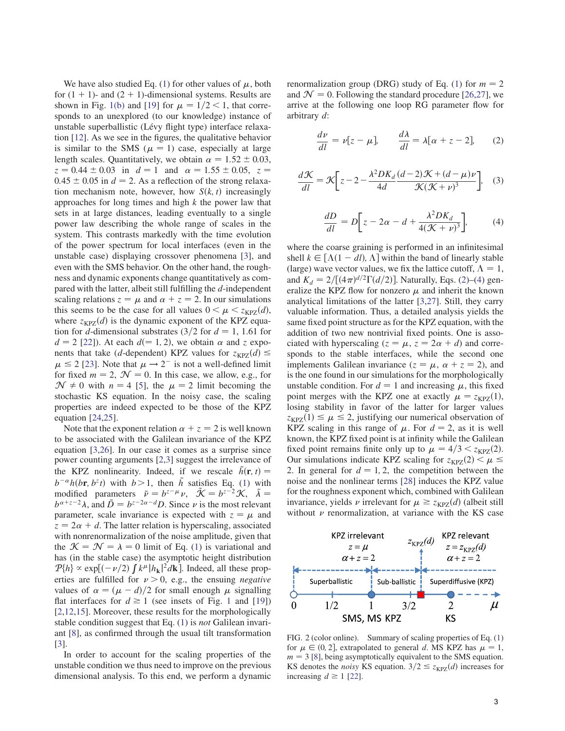We have also studied Eq. [\(1](#page-0-0)) for other values of  $\mu$ , both for  $(1 + 1)$ - and  $(2 + 1)$ -dimensional systems. Results are shown in Fig. [1\(b\)](#page-1-1) and [[19\]](#page-3-18) for  $\mu = 1/2 < 1$ , that corre-<br>sponds to an unexplored (to our knowledge) instance of sponds to an unexplored (to our knowledge) instance of unstable superballistic (Lévy flight type) interface relaxation [[12\]](#page-3-11). As we see in the figures, the qualitative behavior is similar to the SMS ( $\mu = 1$ ) case, especially at large<br>length scales. Quantitatively we obtain  $\alpha = 1.52 \pm 0.03$ length scales. Quantitatively, we obtain  $\alpha = 1.52 \pm 0.03$ ,  $z = 0.44 \pm 0.03$  in  $d = 1$  and  $\alpha = 1.55 \pm 0.05$ ,  $z =$  $0.45 \pm 0.05$  in  $d = 2$ . As a reflection of the strong relaxation mechanism note, however, how  $S(k, t)$  increasingly approaches for long times and high  $k$  the power law that sets in at large distances, leading eventually to a single power law describing the whole range of scales in the system. This contrasts markedly with the time evolution of the power spectrum for local interfaces (even in the unstable case) displaying crossover phenomena [\[3](#page-3-2)], and even with the SMS behavior. On the other hand, the roughness and dynamic exponents change quantitatively as compared with the latter, albeit still fulfilling the d-independent scaling relations  $z = \mu$  and  $\alpha + z = 2$ . In our simulations<br>this seems to be the case for all values  $0 \le \mu \le z_{\text{VPR}}(d)$ this seems to be the case for all values  $0 < \mu < z_{KPZ}(d)$ ,<br>where  $z_{VZ}(d)$  is the dynamic exponent of the KPZ equawhere  $z_{KPZ}(d)$  is the dynamic exponent of the KPZ equation for d-dimensional substrates  $\left(\frac{3}{2} \text{ for } d = 1, 1.61 \text{ for } \right)$  $d = 2$  [\[22](#page-3-21)]). At each  $d(= 1, 2)$ , we obtain  $\alpha$  and z exponents that take (d-dependent) KPZ values for  $z_{KPZ}(d) \leq$  $\mu \le 2$  [\[23](#page-3-22)]. Note that  $\mu \to 2^-$  is not a well-defined limit<br>for fixed  $m = 2$   $\mathcal{N} = 0$ . In this case, we allow e.g. for for fixed  $m = 2$ ,  $\mathcal{N} = 0$ . In this case, we allow, e.g., for  $\mathcal{N} \neq 0$  with  $n = 4$  [\[5](#page-3-4)], the  $\mu = 2$  limit becoming the stochastic KS equation. In the noisy case, the scaling stochastic KS equation. In the noisy case, the scaling properties are indeed expected to be those of the KPZ equation  $[24,25]$  $[24,25]$  $[24,25]$  $[24,25]$ .

Note that the exponent relation  $\alpha + z = 2$  is well known to be associated with the Galilean invariance of the KPZ equation [[3](#page-3-2)[,26](#page-3-25)]. In our case it comes as a surprise since power counting arguments [\[2](#page-3-1),[3\]](#page-3-2) suggest the irrelevance of the KPZ nonlinearity. Indeed, if we rescale  $\tilde{h}(\mathbf{r}, t) =$  $b^{-\alpha}h(br, b^{z}t)$  with  $b>1$ , then  $\tilde{h}$  satisfies Eq. ([1\)](#page-0-0) with modified parameters  $\tilde{p} = b^{z-\mu} \nu$ ,  $\tilde{\mathcal{K}} = b^{z-2}\mathcal{K}$ ,  $\tilde{\lambda} = b^{z+z-2}\lambda$  and  $\tilde{D} = b^{z-2\alpha-d}D$  Since *u* is the most relevant  $b^{\alpha+z-2}\lambda$ , and  $\tilde{D} = b^{z-2\alpha-d}D$ . Since  $\nu$  is the most relevant parameter, scale invariance is expected with  $z = \mu$  and  $z = 2\alpha + d$ . The latter relation is hyperscaling associated  $z = 2\alpha + d$ . The latter relation is hyperscaling, associated with nonrenormalization of the noise amplitude, given that the  $\mathcal{K} = \mathcal{N} = \lambda = 0$  limit of Eq. ([1\)](#page-0-0) is variational and has (in the stable case) the asymptotic height distribution  $P[h] \propto \exp[(-\nu/2) \int k^{\mu} |h_{\mathbf{k}}|^2 d\mathbf{k}]$ . Indeed, all these prop-<br>erties are fulfilled for  $\nu > 0$  e.g., the ensuing *negative* erties are fulfilled for  $\nu > 0$ , e.g., the ensuing *negative* values of  $\alpha = (\mu - d)/2$  for small enough  $\mu$  signalling<br>flat interfaces for  $d \ge 1$  (see insets of Fig. 1 and [19]) flat interfaces for  $d \ge 1$  $d \ge 1$  (see insets of Fig. 1 and [\[19](#page-3-18)]) [\[2](#page-3-1),[12](#page-3-11)[,15](#page-3-14)]. Moreover, these results for the morphologically stable condition suggest that Eq. [\(1](#page-0-0)) is *not* Galilean invariant [[8\]](#page-3-7), as confirmed through the usual tilt transformation [\[3](#page-3-2)].

In order to account for the scaling properties of the unstable condition we thus need to improve on the previous dimensional analysis. To this end, we perform a dynamic <span id="page-2-3"></span>renormalization group (DRG) study of Eq. ([1\)](#page-0-0) for  $m = 2$ and  $\mathcal{N} = 0$ . Following the standard procedure [[26](#page-3-25)[,27](#page-3-26)], we arrive at the following one loop RG parameter flow for arbitrary d:

<span id="page-2-1"></span>
$$
\frac{d\nu}{dl} = \nu[z - \mu], \qquad \frac{d\lambda}{dl} = \lambda[\alpha + z - 2], \qquad (2)
$$

$$
\frac{d\mathcal{K}}{dl} = \mathcal{K} \bigg[ z - 2 - \frac{\lambda^2 D K_d}{4d} \frac{(d-2)\mathcal{K} + (d-\mu)\nu}{\mathcal{K}(\mathcal{K} + \nu)^3} \bigg], \quad (3)
$$

<span id="page-2-0"></span>
$$
\frac{dD}{dl} = D\bigg[z - 2\alpha - d + \frac{\lambda^2 D K_d}{4(\mathcal{K} + \nu)^3}\bigg],\tag{4}
$$

where the coarse graining is performed in an infinitesimal shell  $k \in [\Lambda(1 - dl), \Lambda]$  within the band of linearly stable<br>(large) wave vector values, we fix the lattice cutoff  $\Lambda = 1$ (large) wave vector values, we fix the lattice cutoff,  $\Lambda = 1$ ,<br>and  $K_i = 2/\Gamma (4\pi)^{d/2} \Gamma (d/2)$ ]. Naturally, Eqs. (2)–(4) genand  $K_d = 2/[(4\pi)^{d/2}\Gamma(d/2)]$  $K_d = 2/[(4\pi)^{d/2}\Gamma(d/2)]$  $K_d = 2/[(4\pi)^{d/2}\Gamma(d/2)]$ . Naturally, Eqs. [\(2](#page-2-0))–(4) generalize the KPZ flow for nonzero u and inherit the known eralize the KPZ flow for nonzero  $\mu$  and inherit the known analytical limitations of the latter [\[3](#page-3-2),[27\]](#page-3-26). Still, they carry valuable information. Thus, a detailed analysis yields the same fixed point structure as for the KPZ equation, with the addition of two new nontrivial fixed points. One is associated with hyperscaling  $(z = \mu, z = 2\alpha + d)$  and corre-<br>sponds to the stable interfaces while the second one sponds to the stable interfaces, while the second one implements Galilean invariance ( $z = \mu$ ,  $\alpha + z = 2$ ), and is the one found in our simulations for the morphologically is the one found in our simulations for the morphologically unstable condition. For  $d = 1$  and increasing  $\mu$ , this fixed<br>point merges with the KPZ one at exactly  $\mu = z_{\text{true}}(1)$ point merges with the KPZ one at exactly  $\mu = z_{\text{KPZ}}(1)$ ,<br>losing stability in favor of the latter for larger values losing stability in favor of the latter for larger values  $z_{KPZ}(1) \leq \mu \leq 2$ , justifying our numerical observation of **EV** scaling in this range of  $\mu$ . For  $d = 2$  as it is well KPZ scaling in this range of  $\mu$ . For  $d = 2$ , as it is well known the KPZ fixed point is at infinity while the Galilean known, the KPZ fixed point is at infinity while the Galilean fixed point remains finite only up to  $\mu = 4/3 < z_{KPZ}(2)$ .<br>Our simulations indicate KPZ scaling for  $z_{WZ}(2) < \mu <$ Our simulations indicate KPZ scaling for  $z_{KPZ}(2) < \mu \leq$ 2. In general for  $d = 1, 2$ , the competition between the noise and the nonlinear terms [28] induces the KPZ value noise and the nonlinear terms [\[28](#page-3-27)] induces the KPZ value for the roughness exponent which, combined with Galilean invariance, yields  $\nu$  irrelevant for  $\mu \geq z_{KPZ}(d)$  (albeit still<br>without  $\nu$  renormalization, at variance with the KS case without  $\nu$  renormalization, at variance with the KS case

<span id="page-2-2"></span>

FIG. 2 (color online). Summary of scaling properties of Eq. [\(1\)](#page-0-0) for  $\mu \in (0, 2]$ , extrapolated to general d. MS KPZ has  $\mu = 1$ ,<br>m = 3.181, being asymptotically equivalent to the SMS equation  $m = 3$  [\[8\]](#page-3-7), being asymptotically equivalent to the SMS equation. KS denotes the *noisy* KS equation.  $3/2 \le z_{KPZ}(d)$  increases for increasing  $d \ge 1$  [\[22\]](#page-3-21).